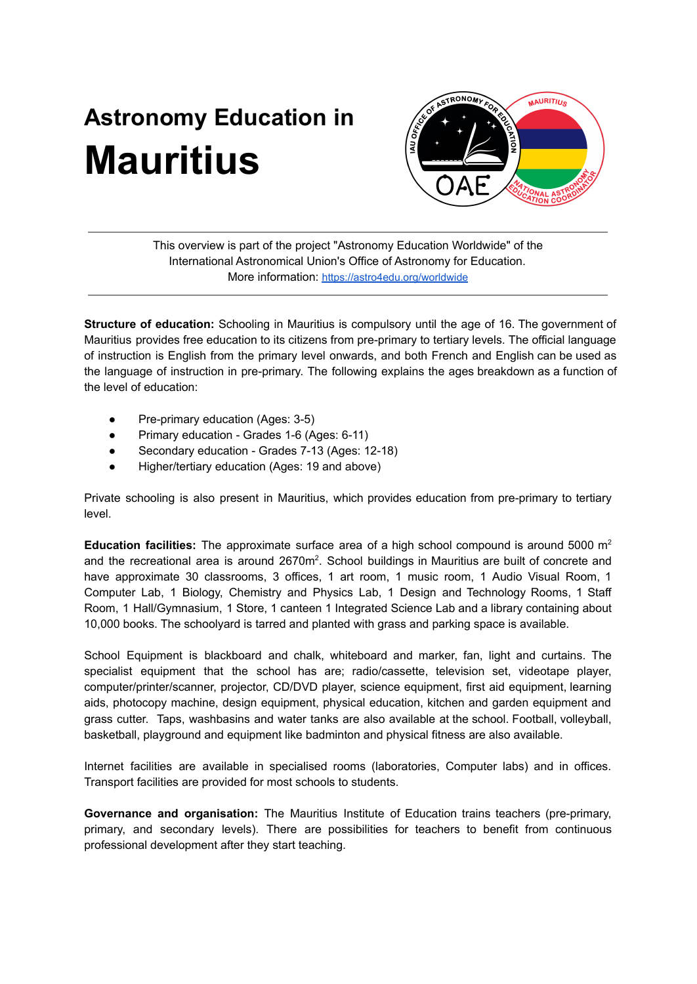# **Astronomy Education in Mauritius**



This overview is part of the project "Astronomy Education Worldwide" of the International Astronomical Union's Office of Astronomy for Education. More information: <https://astro4edu.org/worldwide>

**Structure of education:** Schooling in Mauritius is compulsory until the age of 16. The government of Mauritius provides free education to its citizens from pre-primary to tertiary levels. The official language of instruction is English from the primary level onwards, and both French and English can be used as the language of instruction in pre-primary. The following explains the ages breakdown as a function of the level of education:

- Pre-primary education (Ages: 3-5)
- Primary education Grades 1-6 (Ages: 6-11)
- Secondary education Grades 7-13 (Ages: 12-18)
- Higher/tertiary education (Ages: 19 and above)

Private schooling is also present in Mauritius, which provides education from pre-primary to tertiary level.

**Education facilities:** The approximate surface area of a high school compound is around 5000 m<sup>2</sup> and the recreational area is around  $2670m^2$ . School buildings in Mauritius are built of concrete and have approximate 30 classrooms, 3 offices, 1 art room, 1 music room, 1 Audio Visual Room, 1 Computer Lab, 1 Biology, Chemistry and Physics Lab, 1 Design and Technology Rooms, 1 Staff Room, 1 Hall/Gymnasium, 1 Store, 1 canteen 1 Integrated Science Lab and a library containing about 10,000 books. The schoolyard is tarred and planted with grass and parking space is available.

School Equipment is blackboard and chalk, whiteboard and marker, fan, light and curtains. The specialist equipment that the school has are; radio/cassette, television set, videotape player, computer/printer/scanner, projector, CD/DVD player, science equipment, first aid equipment, learning aids, photocopy machine, design equipment, physical education, kitchen and garden equipment and grass cutter. Taps, washbasins and water tanks are also available at the school. Football, volleyball, basketball, playground and equipment like badminton and physical fitness are also available.

Internet facilities are available in specialised rooms (laboratories, Computer labs) and in offices. Transport facilities are provided for most schools to students.

**Governance and organisation:** The Mauritius Institute of Education trains teachers (pre-primary, primary, and secondary levels). There are possibilities for teachers to benefit from continuous professional development after they start teaching.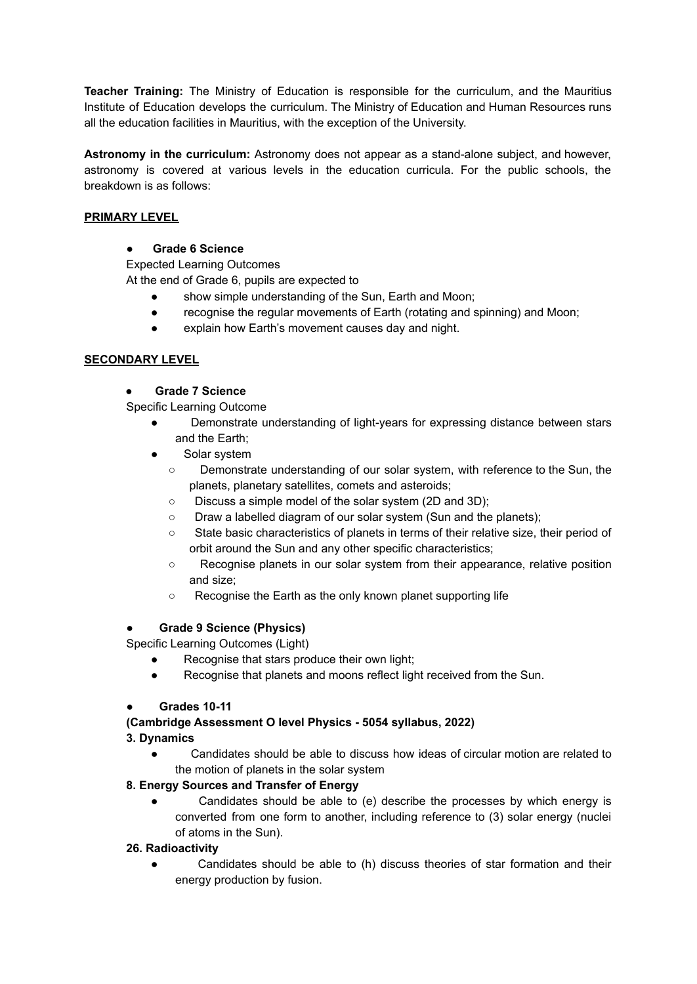**Teacher Training:** The Ministry of Education is responsible for the curriculum, and the Mauritius Institute of Education develops the curriculum. The Ministry of Education and Human Resources runs all the education facilities in Mauritius, with the exception of the University.

**Astronomy in the curriculum:** Astronomy does not appear as a stand-alone subject, and however, astronomy is covered at various levels in the education curricula. For the public schools, the breakdown is as follows:

# **PRIMARY LEVEL**

# ● **Grade 6 Science**

Expected Learning Outcomes

At the end of Grade 6, pupils are expected to

- show simple understanding of the Sun, Earth and Moon;
- recognise the regular movements of Earth (rotating and spinning) and Moon;
- explain how Earth's movement causes day and night.

# **SECONDARY LEVEL**

# ● **Grade 7 Science**

Specific Learning Outcome

- Demonstrate understanding of light-years for expressing distance between stars and the Earth;
- Solar system
	- Demonstrate understanding of our solar system, with reference to the Sun, the planets, planetary satellites, comets and asteroids;
	- Discuss a simple model of the solar system (2D and 3D);
	- Draw a labelled diagram of our solar system (Sun and the planets);
	- State basic characteristics of planets in terms of their relative size, their period of orbit around the Sun and any other specific characteristics;
	- Recognise planets in our solar system from their appearance, relative position and size;
	- Recognise the Earth as the only known planet supporting life

#### ● **Grade 9 Science (Physics)**

Specific Learning Outcomes (Light)

- Recognise that stars produce their own light;
- Recognise that planets and moons reflect light received from the Sun.

#### ● **Grades 10-11**

# **(Cambridge Assessment O level Physics - 5054 syllabus, 2022)**

#### **3. Dynamics**

● Candidates should be able to discuss how ideas of circular motion are related to the motion of planets in the solar system

# **8. Energy Sources and Transfer of Energy**

Candidates should be able to (e) describe the processes by which energy is converted from one form to another, including reference to (3) solar energy (nuclei of atoms in the Sun).

# **26. Radioactivity**

Candidates should be able to (h) discuss theories of star formation and their energy production by fusion.